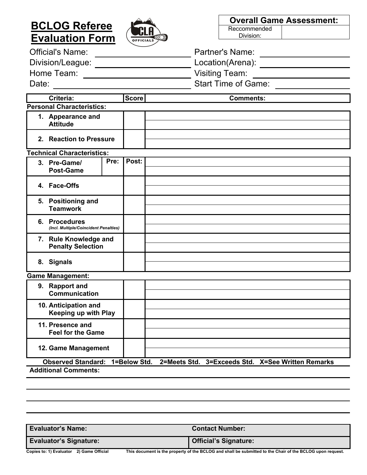# **BCLOG Referee Evaluation Form**

Division/League: <u>Location</u>

Date: Start Time of Game:



| <b>Overall Game Assessment:</b> |  |  |  |
|---------------------------------|--|--|--|
| Reccommended                    |  |  |  |
| Division:                       |  |  |  |

| <b>Official's Name:</b> | <b>Partner's Name:</b> |
|-------------------------|------------------------|
| Division/League:        | Location(Arena):       |

Home Team: Network of Came Team: Network Team: Network Team: Network Team: Network Team: Network Time of Game:

| <b>Criteria:</b>                                                                                                                 | <b>Score</b>  | <b>Comments:</b> |  |  |
|----------------------------------------------------------------------------------------------------------------------------------|---------------|------------------|--|--|
| <b>Personal Characteristics:</b>                                                                                                 |               |                  |  |  |
| 1. Appearance and<br><b>Attitude</b>                                                                                             |               |                  |  |  |
| 2. Reaction to Pressure                                                                                                          |               |                  |  |  |
| <b>Technical Characteristics:</b>                                                                                                |               |                  |  |  |
| 3. Pre-Game/<br><b>Post-Game</b>                                                                                                 | Post:<br>Pre: |                  |  |  |
| 4. Face-Offs                                                                                                                     |               |                  |  |  |
| 5. Positioning and<br><b>Teamwork</b>                                                                                            |               |                  |  |  |
| 6. Procedures<br>(Incl. Multiple/Coincident Penalties)                                                                           |               |                  |  |  |
| 7. Rule Knowledge and<br><b>Penalty Selection</b>                                                                                |               |                  |  |  |
| 8. Signals                                                                                                                       |               |                  |  |  |
| <b>Game Management:</b>                                                                                                          |               |                  |  |  |
| 9. Rapport and<br><b>Communication</b>                                                                                           |               |                  |  |  |
| 10. Anticipation and<br><b>Keeping up with Play</b>                                                                              |               |                  |  |  |
| 11. Presence and<br><b>Feel for the Game</b>                                                                                     |               |                  |  |  |
| 12. Game Management                                                                                                              |               |                  |  |  |
| <b>Observed Standard:</b><br>1=Below Std.<br>3=Exceeds Std. X=See Written Remarks<br>2=Meets Std.<br><b>Additional Comments:</b> |               |                  |  |  |

| <b>Evaluator's Name:</b>      |                                                                                                            | <b>Contact Number:</b>       |
|-------------------------------|------------------------------------------------------------------------------------------------------------|------------------------------|
| <b>Evaluator's Signature:</b> |                                                                                                            | <b>Official's Signature:</b> |
|                               | This decompatible approach of the BOLOG and shall be colonited to the Obsident the BOLOG correction of the |                              |

**Copies to: 1) Evaluator 2) Game Official This document is the property of the BCLOG and shall be submitted to the Chair of the BCLOG upon request.**